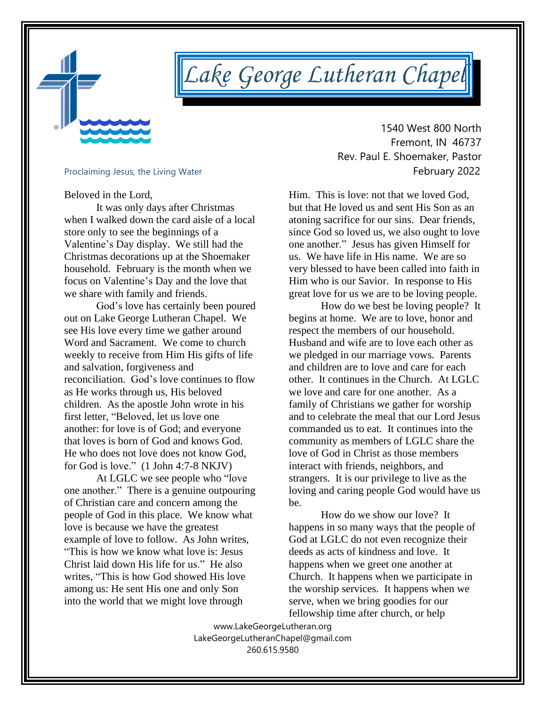

# *Lake George Lutheran Chapel*

Beloved in the Lord,

It was only days after Christmas when I walked down the card aisle of a local store only to see the beginnings of a Valentine's Day display. We still had the Christmas decorations up at the Shoemaker household. February is the month when we focus on Valentine's Day and the love that we share with family and friends.

God's love has certainly been poured out on Lake George Lutheran Chapel. We see His love every time we gather around Word and Sacrament. We come to church weekly to receive from Him His gifts of life and salvation, forgiveness and reconciliation. God's love continues to flow as He works through us, His beloved children. As the apostle John wrote in his first letter, "Beloved, let us love one another: for love is of God; and everyone that loves is born of God and knows God. He who does not love does not know God, for God is love." (1 John 4:7-8 NKJV)

At LGLC we see people who "love one another." There is a genuine outpouring of Christian care and concern among the people of God in this place. We know what love is because we have the greatest example of love to follow. As John writes, "This is how we know what love is: Jesus Christ laid down His life for us." He also writes, "This is how God showed His love among us: He sent His one and only Son into the world that we might love through

 1540 West 800 North Fremont, IN 46737 Rev. Paul E. Shoemaker, Pastor Proclaiming Jesus, the Living Water<br> **Proclaiming Jesus, the Living Water** 

> Him. This is love: not that we loved God, but that He loved us and sent His Son as an atoning sacrifice for our sins. Dear friends, since God so loved us, we also ought to love one another." Jesus has given Himself for us. We have life in His name. We are so very blessed to have been called into faith in Him who is our Savior. In response to His great love for us we are to be loving people.

> How do we best be loving people? It begins at home. We are to love, honor and respect the members of our household. Husband and wife are to love each other as we pledged in our marriage vows. Parents and children are to love and care for each other. It continues in the Church. At LGLC we love and care for one another. As a family of Christians we gather for worship and to celebrate the meal that our Lord Jesus commanded us to eat. It continues into the community as members of LGLC share the love of God in Christ as those members interact with friends, neighbors, and strangers. It is our privilege to live as the loving and caring people God would have us be.

How do we show our love? It happens in so many ways that the people of God at LGLC do not even recognize their deeds as acts of kindness and love. It happens when we greet one another at Church. It happens when we participate in the worship services. It happens when we serve, when we bring goodies for our fellowship time after church, or help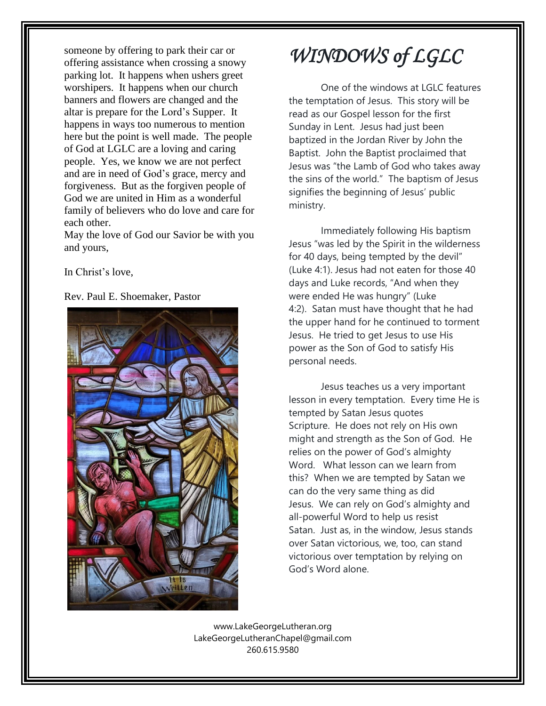someone by offering to park their car or offering assistance when crossing a snowy parking lot. It happens when ushers greet worshipers. It happens when our church banners and flowers are changed and the altar is prepare for the Lord's Supper. It happens in ways too numerous to mention here but the point is well made. The people of God at LGLC are a loving and caring people. Yes, we know we are not perfect and are in need of God's grace, mercy and forgiveness. But as the forgiven people of God we are united in Him as a wonderful family of believers who do love and care for each other.

May the love of God our Savior be with you and yours,

In Christ's love,

#### Rev. Paul E. Shoemaker, Pastor



# *WINDOWS of LGLC*

One of the windows at LGLC features the temptation of Jesus. This story will be read as our Gospel lesson for the first Sunday in Lent. Jesus had just been baptized in the Jordan River by John the Baptist. John the Baptist proclaimed that Jesus was "the Lamb of God who takes away the sins of the world." The baptism of Jesus signifies the beginning of Jesus' public ministry.

Immediately following His baptism Jesus "was led by the Spirit in the wilderness for 40 days, being tempted by the devil" (Luke 4:1). Jesus had not eaten for those 40 days and Luke records, "And when they were ended He was hungry" (Luke 4:2). Satan must have thought that he had the upper hand for he continued to torment Jesus. He tried to get Jesus to use His power as the Son of God to satisfy His personal needs.

Jesus teaches us a very important lesson in every temptation. Every time He is tempted by Satan Jesus quotes Scripture. He does not rely on His own might and strength as the Son of God. He relies on the power of God's almighty Word. What lesson can we learn from this? When we are tempted by Satan we can do the very same thing as did Jesus. We can rely on God's almighty and all-powerful Word to help us resist Satan. Just as, in the window, Jesus stands over Satan victorious, we, too, can stand victorious over temptation by relying on God's Word alone.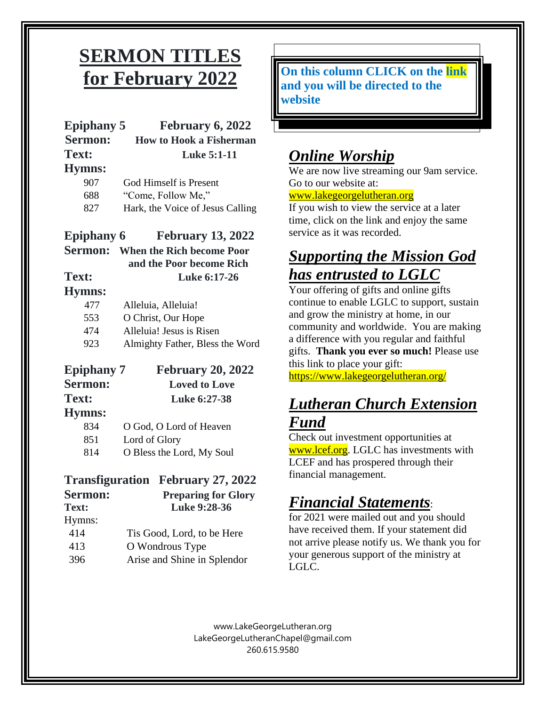## **SERMON TITLES** **for February 2022**

| <b>Epiphany 5</b><br>Sermon: | February 6, 2022<br><b>How to Hook a Fisherman</b>                   |
|------------------------------|----------------------------------------------------------------------|
| Text:                        | <b>Luke 5:1-11</b>                                                   |
| <b>Hymns:</b>                |                                                                      |
| 907                          | God Himself is Present                                               |
| 688                          | "Come, Follow Me,"                                                   |
| 827                          | Hark, the Voice of Jesus Calling                                     |
| <b>Epiphany 6</b>            | <b>February 13, 2022</b><br><b>Sermon:</b> When the Rich become Poor |
|                              | and the Poor become Rich                                             |
| Text:                        | Luke 6:17-26                                                         |
| <b>Hymns:</b>                |                                                                      |
| 477                          | Alleluia, Alleluia!                                                  |
| 553                          | O Christ, Our Hope                                                   |
| 474                          | Alleluia! Jesus is Risen                                             |
| 923                          | Almighty Father, Bless the Word                                      |
| <b>Epiphany</b> 7            | <b>February 20, 2022</b>                                             |

| $E$ piphany $\gamma$ | <b>February 20, 202</b> |
|----------------------|-------------------------|
| <b>Sermon:</b>       | <b>Loved to Love</b>    |
| Text:                | Luke 6:27-38            |
| <b>Hymns:</b>        |                         |
| 834                  | O God, O Lord of Heaven |
| 851                  | Lord of Glory           |

814 O Bless the Lord, My Soul

### **Transfiguration February 27, 2022**

| Sermon: | <b>Preparing for Glory</b>  |
|---------|-----------------------------|
| Text:   | Luke 9:28-36                |
| Hymns:  |                             |
| 414     | Tis Good, Lord, to be Here  |
| 413     | O Wondrous Type             |
| 396     | Arise and Shine in Splendor |

**On this column CLICK on the link and you will be directed to the website**

### *Online Worship*

We are now live streaming our 9am service. Go to our website at:

### [www.lakegeorgelutheran.org](http://www.lakegeorgelutheran.org/)

If you wish to view the service at a later time, click on the link and enjoy the same service as it was recorded.

### *Supporting the Mission God has entrusted to LGLC*

Your offering of gifts and online gifts continue to enable LGLC to support, sustain and grow the ministry at home, in our community and worldwide. You are making a difference with you regular and faithful gifts. **Thank you ever so much!** Please use this link to place your gift:

<https://www.lakegeorgelutheran.org/>

### *Lutheran Church Extension Fund*

Check out investment opportunities at [www.lcef.org.](http://www.lcef.org/) LGLC has investments with LCEF and has prospered through their financial management.

### *Financial Statements*:

for 2021 were mailed out and you should have received them. If your statement did not arrive please notify us. We thank you for your generous support of the ministry at LGLC.